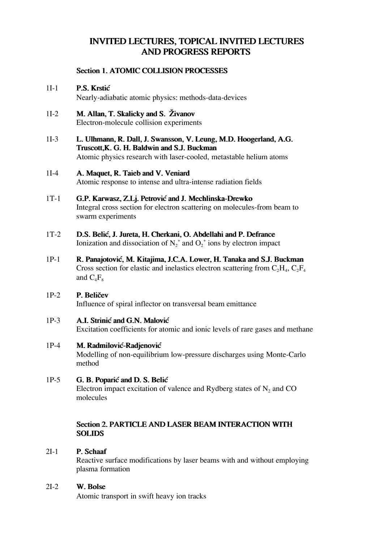# **INVITED LECTURES, TOPICAL INVITED LECTURES AND PROGRESS REPORTS**

# **Section 1. ATOMIC COLLISION PROCESSES**

# 1I-1 P.S. Krstić

Nearly-adiabatic atomic physics: methods-data-devices

- $11-2$  M. Allan, T. Skalicky and S. Zivanov Electron-molecule collision experiments
- 1I-3 L. Ulhmann, R. Dall, J. Swansson, V. Leung, M.D. Hoogerland, A.G. Truscott,K. G. H. Baldwin and S.J. Buckman Atomic physics research with laser-cooled, metastable helium atoms

# 1I-4 A. Maquet, R. Taieb and V. Veniard

Atomic response to intense and ultra-intense radiation fields

# 1T-1 G.P. Karwasz, Z.Lj. Petrović and J. Mechlinska-Drewko Integral cross section for electron scattering on molecules-from beam to swarm experiments

- 1T-2 D.S. Belić, J. Jureta, H. Cherkani, O. Abdellahi and P. Defrance Ionization and dissociation of  $N_2^+$  and  $O_2^+$  ions by electron impact
- 1P-1 R. Panajotović, M. Kitajima, J.C.A. Lower, H. Tanaka and S.J. Buckman Cross section for elastic and inelastics electron scattering from  $C_2H_4$ ,  $C_2F_4$ and  $C_4F_8$

# 1P-2 P. Beličev

Influence of spiral inflector on transversal beam emittance

1P-3 A.I. Strinić and G.N. Malović Excitation coefficients for atomic and ionic levels of rare gases and methane

### 1P-4 M. Radmilović-Radjenović Modelling of non-equilibrium low-pressure discharges using Monte-Carlo method

1P-5 G. B. Poparić and D. S. Belić Electron impact excitation of valence and Rydberg states of  $N_2$  and CO molecules

# **Section 2. PARTICLE AND LASER BEAM INTERACTION WITH SOLIDS**

#### P. Schaaf 2I-1

Reactive surface modifications by laser beams with and without employing plasma formation

# 2I-2 W. Bolse

Atomic transport in swift heavy ion tracks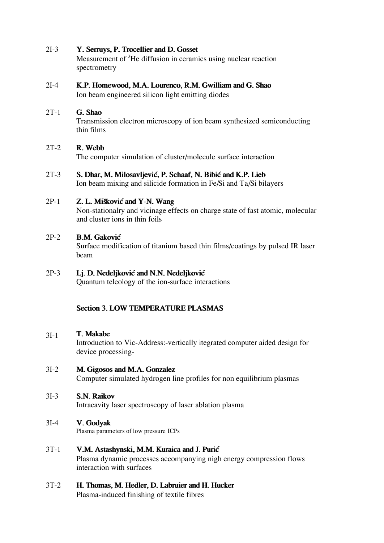#### Y. Serruys, P. Trocellier and D. Gosset 2I-3

Measurement of <sup>3</sup>He diffusion in ceramics using nuclear reaction spectrometry

#### K.P. Homewood, M.A. Lourenco, R.M. Gwilliam and G. Shao 2I-4

Ion beam engineered silicon light emitting diodes

# 2T-1 G. Shao

Transmission electron microscopy of ion beam synthesized semiconducting thin films

#### R. Webb 2T-2

The computer simulation of cluster/molecule surface interaction

#### S. Dhar, M. Milosavljević, P. Schaaf, N. Bibić and K.P. Lieb 2T-3

Ion beam mixing and silicide formation in Fe/Si and Ta/Si bilayers

#### Z. L. Mišković and Y-N. Wang 2P-1

Non-stationalry and vicinage effects on charge state of fast atomic, molecular and cluster ions in thin foils

#### **B.M. Gaković** 2P-2

Surface modification of titanium based thin films/coatings by pulsed IR laser beam

#### Lj. D. Nedeljković and N.N. Nedeljković 2P-3

Quantum teleology of the ion-surface interactions

# **Section 3. LOW TEMPERATURE PLASMAS**

#### T. Makabe 3I-1

Introduction to Vic-Address:-vertically itegrated computer aided design for device processing-

# 3I-2 M. Gigosos and M.A. Gonzalez

Computer simulated hydrogen line profiles for non equilibrium plasmas

# 3I-3 S.N. Raikov

Intracavity laser spectroscopy of laser ablation plasma

# 3I-4 V. Godyak

Plasma parameters of low pressure ICPs

# 3T-1 **V.M. Astashynski, M.M. Kuraica and J. Puri}**

Plasma dynamic processes accompanying nigh energy compression flows interaction with surfaces

# 3T-2 H. Thomas, M. Hedler, D. Labruier and H. Hucker

Plasma-induced finishing of textile fibres